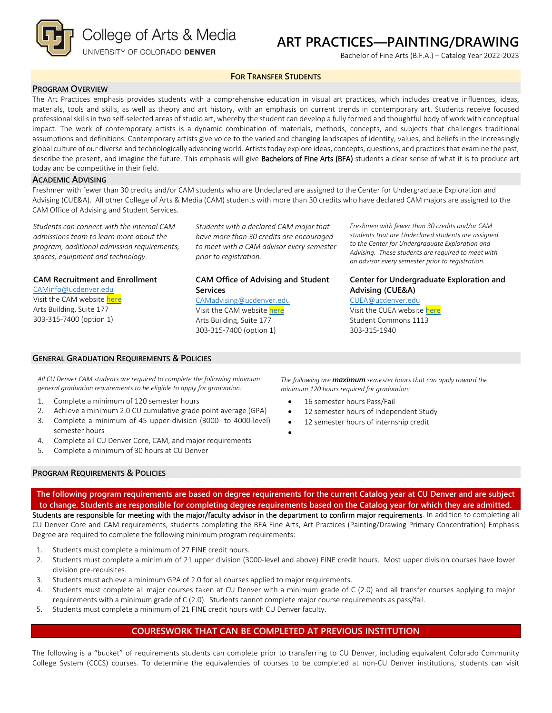

# **ART PRACTICES—PAINTING/DRAWING**

Bachelor of Fine Arts (B.F.A.) – Catalog Year 2022-2023

## **FOR TRANSFER STUDENTS**

## **PROGRAM OVERVIEW**

The Art Practices emphasis provides students with a comprehensive education in visual art practices, which includes creative influences, ideas, materials, tools and skills, as well as theory and art history, with an emphasis on current trends in contemporary art. Students receive focused professional skills in two self-selected areas of studio art, whereby the student can develop a fully formed and thoughtful body of work with conceptual impact. The work of contemporary artists is a dynamic combination of materials, methods, concepts, and subjects that challenges traditional assumptions and definitions. Contemporary artists give voice to the varied and changing landscapes of identity, values, and beliefs in the increasingly global culture of our diverse and technologically advancing world. Artists today explore ideas, concepts, questions, and practices that examine the past, describe the present, and imagine the future. This emphasis will give Bachelors of Fine Arts (BFA) students a clear sense of what it is to produce art today and be competitive in their field.

#### **ACADEMIC ADVISING**

Freshmen with fewer than 30 credits and/or CAM students who are Undeclared are assigned to the Center for Undergraduate Exploration and Advising (CUE&A). All other College of Arts & Media (CAM) students with more than 30 credits who have declared CAM majors are assigned to the CAM Office of Advising and Student Services.

*Students can connect with the internal CAM admissions team to learn more about the program, additional admission requirements, spaces, equipment and technology.*

**CAM Recruitment and Enrollment**

[CAMinfo@ucdenver.edu](mailto:CAMinfo@ucdenver.edu) Visit the CAM websit[e here](https://artsandmedia.ucdenver.edu/prospective-students/prospective-students) Arts Building, Suite 177 303-315-7400 (option 1)

*Students with a declared CAM major that have more than 30 credits are encouraged to meet with a CAM advisor every semester prior to registration.*

## **CAM Office of Advising and Student Services**

#### [CAMadvising@ucdenver.edu](mailto:CAMadvising@ucdenver.edu)

Visit the CAM websit[e here](https://artsandmedia.ucdenver.edu/current-students/about-academic-advising) Arts Building, Suite 177 303-315-7400 (option 1)

*Freshmen with fewer than 30 credits and/or CAM students that are Undeclared students are assigned to the Center for Undergraduate Exploration and Advising. These students are required to meet with an advisor every semester prior to registration.*

# **Center for Undergraduate Exploration and Advising (CUE&A)**

[CUEA@ucdenver.edu](mailto:CUEA@ucdenver.edu) Visit the CUEA websit[e here](https://www.ucdenver.edu/center-for-undergraduate-exploration-and-advising)

Student Commons 1113 303-315-1940

## *All CU Denver CAM students are required to complete the following minimum general graduation requirements to be eligible to apply for graduation:*

1. Complete a minimum of 120 semester hours

**GENERAL GRADUATION REQUIREMENTS & POLICIES**

- 2. Achieve a minimum 2.0 CU cumulative grade point average (GPA)
- 3. Complete a minimum of 45 upper-division (3000- to 4000-level) semester hours
- 4. Complete all CU Denver Core, CAM, and major requirements
- 5. Complete a minimum of 30 hours at CU Denver

*The following are maximum semester hours that can apply toward the minimum 120 hours required for graduation:*

- 16 semester hours Pass/Fail
- 12 semester hours of Independent Study
- 12 semester hours of internship credit
- •

# **PROGRAM REQUIREMENTS & POLICIES**

**The following program requirements are based on degree requirements for the current Catalog year at CU Denver and are subject to change. Students are responsible for completing degree requirements based on the Catalog year for which they are admitted.** Students are responsible for meeting with the major/faculty advisor in the department to confirm major requirements. In addition to completing all CU Denver Core and CAM requirements, students completing the BFA Fine Arts, Art Practices (Painting/Drawing Primary Concentration) Emphasis Degree are required to complete the following minimum program requirements:

- 1. Students must complete a minimum of 27 FINE credit hours.
- 2. Students must complete a minimum of 21 upper division (3000-level and above) FINE credit hours. Most upper division courses have lower division pre-requisites.
- 3. Students must achieve a minimum GPA of 2.0 for all courses applied to major requirements.
- 4. Students must complete all major courses taken at CU Denver with a minimum grade of C (2.0) and all transfer courses applying to major requirements with a minimum grade of C (2.0). Students cannot complete major course requirements as pass/fail.
- 5. Students must complete a minimum of 21 FINE credit hours with CU Denver faculty.

# **COURESWORK THAT CAN BE COMPLETED AT PREVIOUS INSTITUTION**

The following is a "bucket" of requirements students can complete prior to transferring to CU Denver, including equivalent Colorado Community College System (CCCS) courses. To determine the equivalencies of courses to be completed at non-CU Denver institutions, students can visit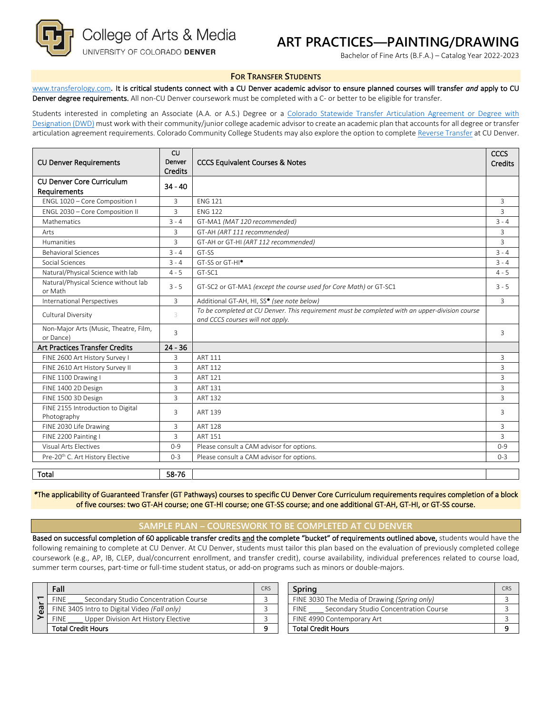College of Arts & Media

# UNIVERSITY OF COLORADO DENVER

# **ART PRACTICES—PAINTING/DRAWING**

Bachelor of Fine Arts (B.F.A.) – Catalog Year 2022-2023

#### **FOR TRANSFER STUDENTS**

[www.transferology.com](http://www.transferology.com/)**.** It is critical students connect with a CU Denver academic advisor to ensure planned courses will transfer *and* apply to CU Denver degree requirements. All non-CU Denver coursework must be completed with a C- or better to be eligible for transfer.

Students interested in completing an Associate (A.A. or A.S.) Degree or a Colorado Statewide Transfer Articulation Agreement or Degree with [Designation \(DWD\)](https://highered.colorado.gov/Academics/Transfers/TransferDegrees.html) must work with their community/junior college academic advisor to create an academic plan that accounts for all degree or transfer articulation agreement requirements. Colorado Community College Students may also explore the option to complet[e Reverse Transfer](https://degreewithinreach.wordpress.com/) at CU Denver.

| <b>CU Denver Requirements</b>                      | <b>CU</b><br>Denver<br><b>CCCS Equivalent Courses &amp; Notes</b><br><b>Credits</b> |                                                                                                                                    | CCCS<br>Credits |
|----------------------------------------------------|-------------------------------------------------------------------------------------|------------------------------------------------------------------------------------------------------------------------------------|-----------------|
| <b>CU Denver Core Curriculum</b>                   | $34 - 40$                                                                           |                                                                                                                                    |                 |
| Requirements                                       |                                                                                     |                                                                                                                                    |                 |
| ENGL 1020 - Core Composition I                     | 3                                                                                   | <b>ENG 121</b>                                                                                                                     | 3               |
| ENGL 2030 - Core Composition II                    | 3                                                                                   | <b>ENG 122</b>                                                                                                                     | 3               |
| Mathematics                                        | $3 - 4$                                                                             | GT-MA1 (MAT 120 recommended)                                                                                                       | $3 - 4$         |
| Arts                                               | 3                                                                                   | GT-AH (ART 111 recommended)                                                                                                        | 3               |
| Humanities                                         | 3                                                                                   | GT-AH or GT-HI (ART 112 recommended)                                                                                               | 3               |
| <b>Behavioral Sciences</b>                         | $3 - 4$                                                                             | GT-SS                                                                                                                              | $3 - 4$         |
| Social Sciences                                    | $3 - 4$                                                                             | GT-SS or GT-HI <sup>*</sup>                                                                                                        | $3 - 4$         |
| Natural/Physical Science with lab                  | $4 - 5$                                                                             | GT-SC1                                                                                                                             | $4 - 5$         |
| Natural/Physical Science without lab<br>or Math    | $3 - 5$                                                                             | GT-SC2 or GT-MA1 (except the course used for Core Math) or GT-SC1                                                                  | $3 - 5$         |
| <b>International Perspectives</b>                  | 3                                                                                   | Additional GT-AH, HI, SS* (see note below)                                                                                         | $\overline{3}$  |
| Cultural Diversity                                 | 3                                                                                   | To be completed at CU Denver. This requirement must be completed with an upper-division course<br>and CCCS courses will not apply. |                 |
| Non-Major Arts (Music, Theatre, Film,<br>or Dance) | 3                                                                                   |                                                                                                                                    | 3               |
| <b>Art Practices Transfer Credits</b>              | $24 - 36$                                                                           |                                                                                                                                    |                 |
| FINE 2600 Art History Survey I                     | 3                                                                                   | ART 111                                                                                                                            | 3               |
| FINE 2610 Art History Survey II                    | 3                                                                                   | ART 112                                                                                                                            | 3               |
| FINE 1100 Drawing I                                | $\overline{3}$                                                                      | <b>ART 121</b>                                                                                                                     | $\overline{3}$  |
| FINE 1400 2D Design                                | 3                                                                                   | <b>ART 131</b>                                                                                                                     | $\overline{3}$  |
| FINE 1500 3D Design                                | 3                                                                                   | <b>ART 132</b>                                                                                                                     | $\overline{3}$  |
| FINE 2155 Introduction to Digital<br>Photography   | 3                                                                                   | ART 139                                                                                                                            | 3               |
| FINE 2030 Life Drawing                             | 3                                                                                   | <b>ART 128</b>                                                                                                                     | 3               |
| FINE 2200 Painting I                               | 3                                                                                   | <b>ART 151</b>                                                                                                                     | 3               |
| Visual Arts Electives                              | $0 - 9$                                                                             | Please consult a CAM advisor for options.                                                                                          | $0 - 9$         |
| Pre-20 <sup>th</sup> C. Art History Elective       | $0 - 3$                                                                             | Please consult a CAM advisor for options.                                                                                          | $0 - 3$         |
| Total                                              | 58-76                                                                               |                                                                                                                                    |                 |

*\**The applicability of Guaranteed Transfer (GT Pathways) courses to specific CU Denver Core Curriculum requirements requires completion of a block of five courses: two GT-AH course; one GT-HI course; one GT-SS course; and one additional GT-AH, GT-HI, or GT-SS course.

#### **SAMPLE PLAN – COURESWORK TO BE COMPLETED AT CU DENVER**

Based on successful completion of 60 applicable transfer credits and the complete "bucket" of requirements outlined above, students would have the following remaining to complete at CU Denver. At CU Denver, students must tailor this plan based on the evaluation of previously completed college coursework (e.g., AP, IB, CLEP, dual/concurrent enrollment, and transfer credit), course availability, individual preferences related to course load, summer term courses, part-time or full-time student status, or add-on programs such as minors or double-majors.

|   | Fall                                                 | <b>CRS</b> | Spring                                               | CR |
|---|------------------------------------------------------|------------|------------------------------------------------------|----|
| σ | Secondary Studio Concentration Course<br><b>FINE</b> |            | FINE 3030 The Media of Drawing (Spring only)         |    |
|   | FINE 3405 Intro to Digital Video (Fall only)         |            | Secondary Studio Concentration Course<br><b>FINE</b> |    |
|   | Upper Division Art History Elective<br><b>FINE</b>   |            | FINE 4990 Contemporary Art                           |    |
|   | <b>Total Credit Hours</b>                            |            | <b>Total Credit Hours</b>                            |    |

| Fall                                                 | <b>CRS</b> | Sprina                                               | CRS |
|------------------------------------------------------|------------|------------------------------------------------------|-----|
| Secondary Studio Concentration Course<br><b>FINE</b> |            | FINE 3030 The Media of Drawing (Spring only)         |     |
| FINE 3405 Intro to Digital Video (Fall only)         |            | Secondary Studio Concentration Course<br><b>FINE</b> |     |
| <b>FINE</b><br>Upper Division Art History Elective   |            | FINE 4990 Contemporary Art                           |     |
| Total Credit Hours                                   |            | <b>Total Credit Hours</b>                            |     |